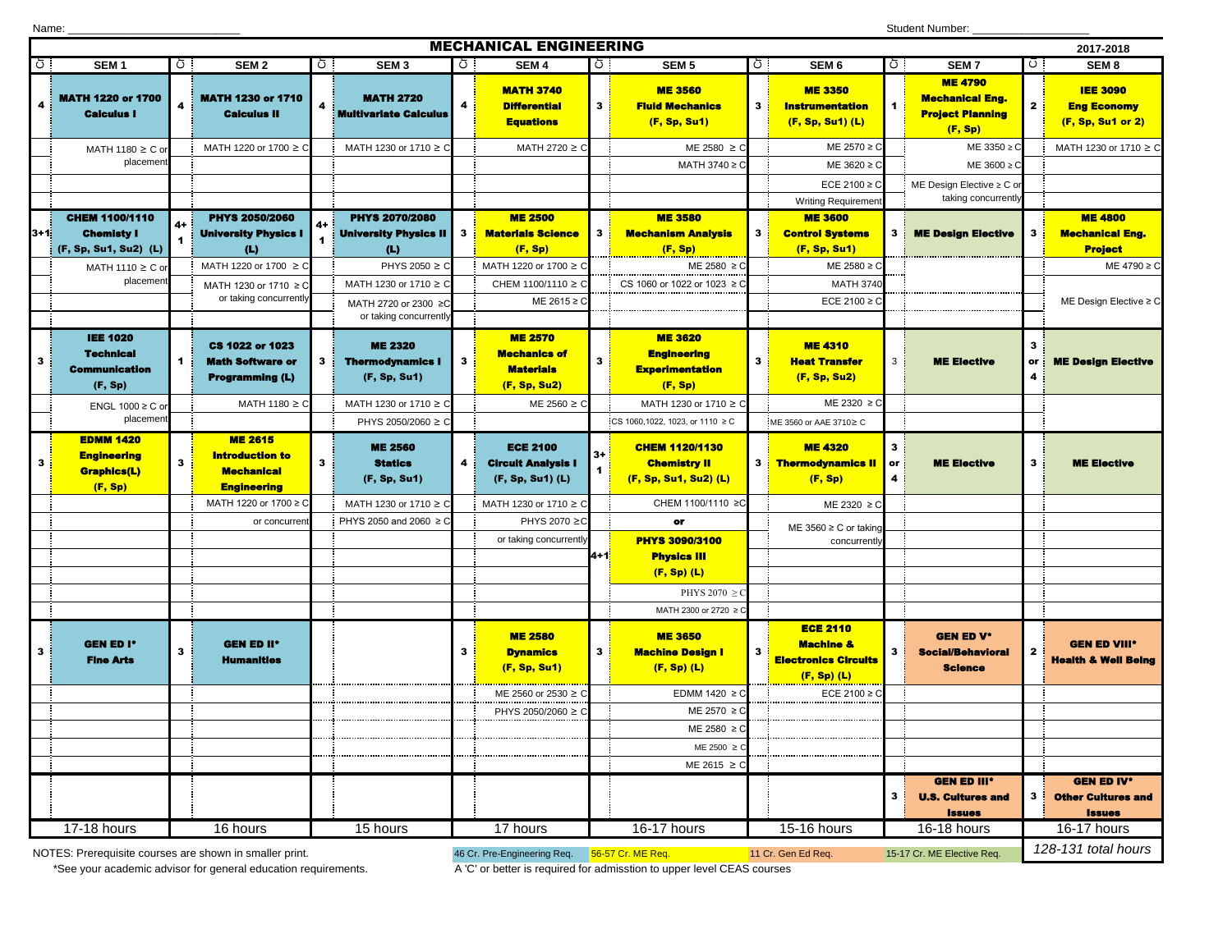| <b>Student Number:</b><br>Name:                        |                                                                         |    |                                                                                     |    |                                                           |    |                                                                           |       |                                                                           |              |                                                                                         |                     |                                                                                |              |                                                                 |
|--------------------------------------------------------|-------------------------------------------------------------------------|----|-------------------------------------------------------------------------------------|----|-----------------------------------------------------------|----|---------------------------------------------------------------------------|-------|---------------------------------------------------------------------------|--------------|-----------------------------------------------------------------------------------------|---------------------|--------------------------------------------------------------------------------|--------------|-----------------------------------------------------------------|
|                                                        |                                                                         |    |                                                                                     |    |                                                           |    | <b>MECHANICAL ENGINEERING</b>                                             |       |                                                                           |              |                                                                                         |                     |                                                                                |              | 2017-2018                                                       |
| Ō.                                                     | SEM <sub>1</sub>                                                        | ōΙ | SEM <sub>2</sub>                                                                    | ōI | SEM <sub>3</sub>                                          | ੋਂ | SEM <sub>4</sub>                                                          | ੇ ਹੋ। | SEM <sub>5</sub>                                                          | ō.           | SEM <sub>6</sub>                                                                        | Ō.                  | SEM <sub>7</sub>                                                               | $\circ$ .    | SEM <sub>8</sub>                                                |
| 4                                                      | <b>MATH 1220 or 1700</b><br><b>Calculus I</b>                           |    | <b>MATH 1230 or 1710</b><br><b>Calculus II</b>                                      |    | <b>MATH 2720</b><br><b>Multivariate Calculus</b>          | 4  | <b>MATH 3740</b><br><b>Differential</b><br><b>Equations</b>               | 3     | <b>ME 3560</b><br><b>Fluid Mechanics</b><br>(F, Sp, Su1)                  | 3            | <b>ME 3350</b><br><b>Instrumentation</b><br>$(F, Sp, Su1)$ (L)                          | 1.                  | <b>ME 4790</b><br><b>Mechanical Eng.</b><br><b>Project Planning</b><br>(F, Sp) | $\mathbf{2}$ | <b>IEE 3090</b><br><b>Eng Economy</b><br>(F, Sp, Su1 or 2)      |
|                                                        | MATH 1180 $\geq$ C or                                                   |    | MATH 1220 or 1700 ≥ C                                                               |    | MATH 1230 or 1710 ≥ C                                     |    | MATH 2720 $\geq$ C                                                        |       | ME 2580 $\geq$ C                                                          |              | ME 2570 ≥ 0                                                                             |                     | ME 3350 ≥ C                                                                    |              | MATH 1230 or 1710 ≥ C                                           |
|                                                        | placemen                                                                |    |                                                                                     |    |                                                           |    |                                                                           |       | MATH 3740 ≥ 0                                                             |              | ME 3620 ≥ 0                                                                             |                     | $ME 3600 \geq C$                                                               |              |                                                                 |
|                                                        |                                                                         |    |                                                                                     |    |                                                           |    |                                                                           |       |                                                                           |              | ECE 2100 $\geq$ C<br><b>Writing Requiremer</b>                                          |                     | ME Design Elective ≥ C or<br>taking concurrently                               |              |                                                                 |
|                                                        | <b>CHEM 1100/1110</b>                                                   |    | <b>PHYS 2050/2060</b>                                                               |    | <b>PHYS 2070/2080</b>                                     |    | <b>ME 2500</b>                                                            |       | <b>ME 3580</b>                                                            |              | <b>ME 3600</b>                                                                          |                     |                                                                                |              | <b>ME 4800</b>                                                  |
| $3+1$                                                  | <b>Chemisty I</b><br>(F, Sp, Su1, Su2) (L)                              |    | <b>University Physics I</b><br>(L)                                                  |    | <b>University Physics II</b><br>$\mathbf{L}$              | 3  | <b>Materials Science</b><br>(F, Sp)                                       |       | <b>Mechanism Analysis</b><br>(F, Sp)                                      | $\mathbf{3}$ | <b>Control Systems</b><br>(F, Sp, Su1)                                                  | 3 <sup>1</sup>      | <b>ME Design Elective</b>                                                      | 3            | <b>Mechanical Eng.</b><br><b>Project</b>                        |
|                                                        | MATH 1110 $\geq$ C or                                                   |    | MATH 1220 or 1700 ≥ C                                                               |    | PHYS 2050 $\geq$ C                                        |    | MATH 1220 or 1700 ≥ C                                                     |       | ME 2580 ≥ C                                                               |              | ME 2580 ≥ 0                                                                             |                     |                                                                                |              | ME 4790 ≥ C                                                     |
|                                                        | placement                                                               |    | MATH 1230 or 1710 ≥ C                                                               |    | MATH 1230 or 1710 ≥ C                                     |    | CHEM 1100/1110 ≥ 0                                                        |       | CS 1060 or 1022 or 1023 ≥ C                                               |              | <b>MATH 3740</b>                                                                        |                     |                                                                                |              |                                                                 |
|                                                        |                                                                         |    | or taking concurrently                                                              |    | MATH 2720 or 2300 ≥C<br>or taking concurrently            |    | ME 2615 $\geq$ C                                                          |       |                                                                           |              | ECE 2100 ≥ 0                                                                            |                     |                                                                                |              | ME Design Elective $\geq$ C                                     |
| $\mathbf{3}$                                           | <b>IEE 1020</b><br><b>Technical</b><br><b>Communication</b><br>(F, Sp)  |    | <b>CS 1022 or 1023</b><br><b>Math Software or</b><br><b>Programming (L)</b>         | 3  | <b>ME 2320</b><br><b>Thermodynamics I</b><br>(F, Sp, Su1) | 3  | <b>ME 2570</b><br><b>Mechanics of</b><br><b>Materials</b><br>(F, Sp, Su2) | 3     | <b>ME 3620</b><br><b>Engineering</b><br><b>Experimentation</b><br>(F, Sp) | 3            | <b>ME4310</b><br><b>Heat Transfer</b><br>(F, Sp, Su2)                                   | 3                   | <b>ME Elective</b>                                                             | 3<br>or<br>4 | <b>ME Design Elective</b>                                       |
|                                                        | ENGL 1000 ≥ C o                                                         |    | MATH 1180 $\geq$ C                                                                  |    | MATH 1230 or 1710 ≥ C                                     |    | ME 2560 $\geq$ C                                                          |       | MATH 1230 or 1710 ≥ C                                                     |              | $ME 2320 \geq C$                                                                        |                     |                                                                                |              |                                                                 |
|                                                        | placemen                                                                |    |                                                                                     |    | PHYS 2050/2060 ≥ C                                        |    |                                                                           |       | CS 1060,1022, 1023, or 1110 ≥ C                                           |              | ME 3560 or AAE 3710≥ C                                                                  |                     |                                                                                |              |                                                                 |
| $\mathbf{3}$                                           | <b>EDMM 1420</b><br><b>Engineering</b><br><b>Graphics(L)</b><br>(F, Sp) | 3  | <b>ME 2615</b><br><b>Introduction to</b><br><b>Mechanical</b><br><b>Engineering</b> | 3  | <b>ME 2560</b><br><b>Statics</b><br>(F, Sp, Su1)          | 4  | <b>ECE 2100</b><br><b>Circult Analysis I</b><br>(F, Sp, Su1) (L)          |       | <b>CHEM 1120/1130</b><br><b>Chemistry II</b><br>(F, Sp, Su1, Su2) (L)     |              | <b>ME 4320</b><br>3 <b>: Thermodynamics II</b><br>(F, Sp)                               | 3<br>or<br>4        | <b>ME Elective</b>                                                             | 3            | <b>ME Elective</b>                                              |
|                                                        |                                                                         |    | MATH 1220 or 1700 ≥ C                                                               |    | MATH 1230 or 1710 ≥ C                                     |    | MATH 1230 or 1710 ≥ C                                                     |       | CHEM 1100/1110 ≥C                                                         |              | ME 2320 ≥ C                                                                             |                     |                                                                                |              |                                                                 |
|                                                        |                                                                         |    | or concurrer                                                                        |    | PHYS 2050 and 2060 ≥ C                                    |    | PHYS 2070 ≥C                                                              |       | or                                                                        |              | ME 3560 $\geq$ C or taking                                                              |                     |                                                                                |              |                                                                 |
|                                                        |                                                                         |    |                                                                                     |    |                                                           |    | or taking concurrently                                                    | 4+1   | <b>PHYS 3090/3100</b><br><b>Physics III</b>                               |              | concurrently                                                                            |                     |                                                                                |              |                                                                 |
|                                                        |                                                                         |    |                                                                                     |    |                                                           |    |                                                                           |       | $(F, Sp)$ (L)                                                             |              |                                                                                         |                     |                                                                                |              |                                                                 |
|                                                        |                                                                         |    |                                                                                     |    |                                                           |    |                                                                           |       | PHYS 2070 $\geq$ 0                                                        |              |                                                                                         |                     |                                                                                |              |                                                                 |
|                                                        |                                                                         |    |                                                                                     |    |                                                           |    |                                                                           |       | MATH 2300 or 2720 ≥                                                       |              |                                                                                         |                     |                                                                                |              |                                                                 |
| $\mathbf{3}$                                           | <b>GEN ED I*</b><br><b>Fine Arts</b>                                    | з  | <b>GEN ED II*</b><br><b>Humanities</b>                                              |    |                                                           | 3  | <b>ME 2580</b><br><b>Dynamics</b><br>(F, Sp, Su1)                         | 3     | <b>ME 3650</b><br><b>Machine Design I</b><br>$(F, Sp)$ (L)                | з            | <b>ECE 2110</b><br><b>Machine &amp;</b><br><b>Electronics Circuits</b><br>$(F, Sp)$ (L) | 3                   | <b>GEN ED V*</b><br><b>Social/Behavioral</b><br><b>Science</b>                 | $\mathbf{2}$ | <b>GEN ED VIII*</b><br><b>Health &amp; Well Being</b>           |
|                                                        |                                                                         |    |                                                                                     |    |                                                           |    | ME 2560 or 2530 ≥ C                                                       |       | EDMM 1420 $\geq$ C                                                        |              | ECE 2100 ≥ C                                                                            |                     |                                                                                |              |                                                                 |
|                                                        |                                                                         |    |                                                                                     |    |                                                           |    | PHYS 2050/2060 ≥ C                                                        |       | ME 2570 ≥ C                                                               |              |                                                                                         |                     |                                                                                |              |                                                                 |
|                                                        |                                                                         |    |                                                                                     |    |                                                           |    |                                                                           |       | $ME 2580 \geq C$                                                          |              |                                                                                         |                     |                                                                                |              |                                                                 |
|                                                        |                                                                         |    |                                                                                     |    |                                                           |    |                                                                           |       | ME 2500 ≥                                                                 |              |                                                                                         |                     |                                                                                |              |                                                                 |
|                                                        |                                                                         |    |                                                                                     |    |                                                           |    |                                                                           |       | $ME 2615 \geq C$                                                          |              |                                                                                         |                     |                                                                                |              |                                                                 |
|                                                        |                                                                         |    |                                                                                     |    |                                                           |    |                                                                           |       |                                                                           |              |                                                                                         | 3                   | <b>GEN ED III*</b><br><b>U.S. Cultures and</b><br><b>Issues</b>                | 3            | <b>GEN ED IV*</b><br><b>Other Cultures and</b><br><b>Issues</b> |
|                                                        | 17-18 hours                                                             |    | 16 hours                                                                            |    | 15 hours                                                  |    | 17 hours                                                                  |       | 16-17 hours                                                               |              | 15-16 hours                                                                             |                     | 16-18 hours                                                                    |              | $16-17$ hours                                                   |
| NOTES: Prerequisite courses are shown in smaller print |                                                                         |    |                                                                                     |    | 46 Cr. Pre-Engineering Reg. 56-57 Cr. ME Reg. 1986.       |    |                                                                           |       | 11 Cr. Gen Ed Rea.<br>15-17 Cr. MF Flective Reg                           |              |                                                                                         | 128-131 total hours |                                                                                |              |                                                                 |

Student Number:

NOTES: Prerequisite courses are shown in smaller print. The American Manager of the American Assemblance and Assemblance and Assemblance and Assemblance and Assemblance and Assemblance and Assemblance and Assemblance and A

\*See your academic advisor for general education requirements. A 'C' or better is required for admisstion to upper level CEAS courses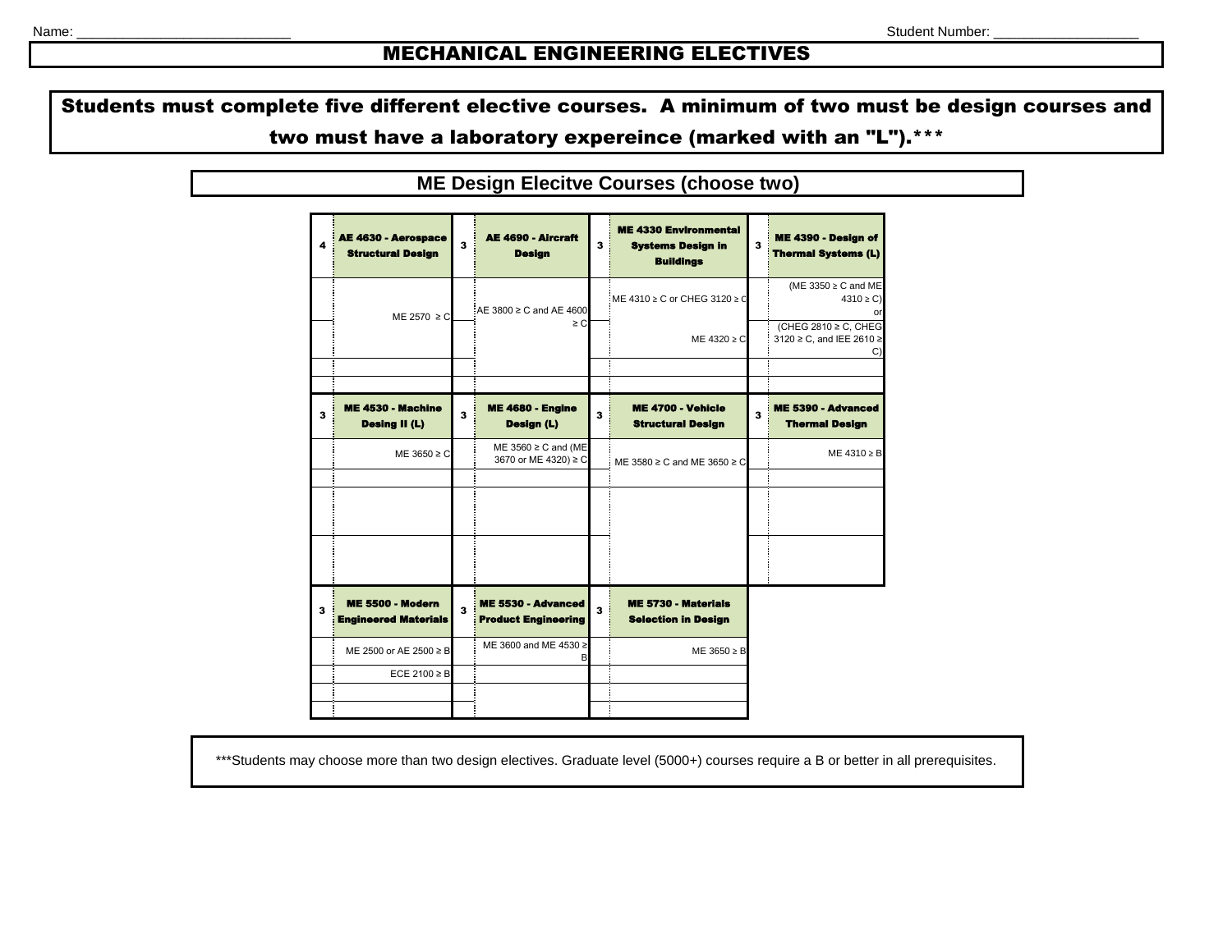## MECHANICAL ENGINEERING ELECTIVES

Students must complete five different elective courses. A minimum of two must be design courses and two must have a laboratory expereince (marked with an "L").\*\*\*

**ME Design Elecitve Courses (choose two)**

4 LE 4630 - Aerospac Structural Design 3 AE 4690 - Aircraft Design 3 4330 Environmental Systems Design in Buildings 3 ME 4390 - Design of Thermal Systems (L) ME 4310 ≥ C or CHEG 3120 ≥ C (ME 3350 ≥ C and ME  $4310 > C$ or ME 4320 ≥ C (CHEG 2810 ≥ C, CHEG 3120 ≥ C, and IEE 2610 ≥ C) 3 ME 4530 - Machine Desing II (L) 3 ME 4680 - Engine Design (L) 3 ME 4700 - Vehicle Structural Design 3 ME 5390 - Advanced Thermal Design ME 3650 ≥ C ME 3560 ≥ C and (ME<br>3670 or ME 4320) ≥ C  $3670$  or ME 4320) ≥ C ME 3580 ≥ C and ME 3650 ≥ C  $\blacksquare$  ME 4310 ≥ B 3 ME 5500 - Modern Engineered Materials 3 ME 5530 - Advanced Product Engineering 3 ME 5730 - Materials Selection in Design ME 2500 or AE 2500 ≥ B ME 3600 and ME 4530 B ME 3650 ≥ B ECE 2100  $\geq$  E ME 2570 ≥ C AE 3800 ≥ C and AE 4600 ≥ C

\*\*\*Students may choose more than two design electives. Graduate level (5000+) courses require a B or better in all prerequisites.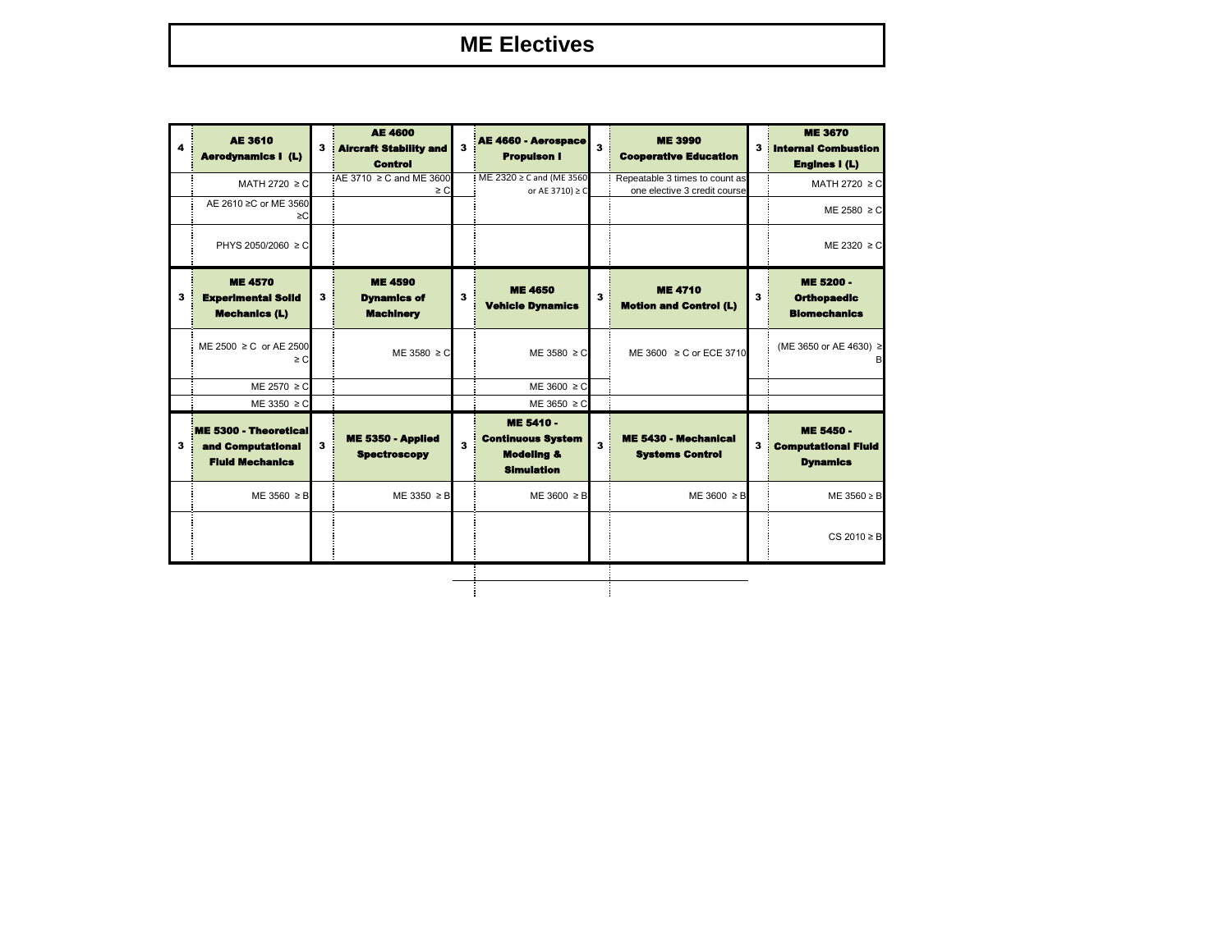## **ME Electives**

| 4 | <b>AE 3610</b><br><b>Aerodynamics I (L)</b>                          | 3 | <b>AE 4600</b><br><b>Aircraft Stability and</b><br><b>Control</b> | 3 | AE 4660 - Aerospace<br><b>Propulson I</b>                                           | 3 | <b>ME 3990</b><br><b>Cooperative Education</b>                 | 3 | <b>ME 3670</b><br><b>Internal Combustion</b><br><b>Engines I (L)</b> |
|---|----------------------------------------------------------------------|---|-------------------------------------------------------------------|---|-------------------------------------------------------------------------------------|---|----------------------------------------------------------------|---|----------------------------------------------------------------------|
|   | MATH 2720 ≥ C                                                        |   | AE 3710 ≥ C and ME 3600<br>$\geq$ C                               |   | ME 2320 ≥ C and (ME 3560<br>or AE 3710) $\geq$ C                                    |   | Repeatable 3 times to count as<br>one elective 3 credit course |   | MATH 2720 $\geq$ C                                                   |
|   | AE 2610 ≥C or ME 3560<br>≥C                                          |   |                                                                   |   |                                                                                     |   |                                                                |   | ME 2580 $\geq$ C                                                     |
|   | PHYS 2050/2060 ≥ C                                                   |   |                                                                   |   |                                                                                     |   |                                                                |   | $ME 2320 \ge C$                                                      |
| 3 | <b>ME 4570</b><br><b>Experimental Solid</b><br><b>Mechanics (L)</b>  | 3 | <b>ME 4590</b><br><b>Dynamics of</b><br><b>Machinery</b>          | 3 | <b>ME 4650</b><br><b>Vehicle Dynamics</b>                                           | 3 | <b>ME 4710</b><br><b>Motion and Control (L)</b>                | 3 | <b>ME 5200 -</b><br><b>Orthopaedic</b><br><b>Blomechanics</b>        |
|   | ME 2500 ≥ C or AE 2500<br>$\geq$ C.                                  |   | ME 3580 $\geq$ C                                                  |   | $ME 3580 \ge C$                                                                     |   | ME 3600 ≥ C or ECE 3710                                        |   | (ME 3650 or AE 4630) ≥<br>B                                          |
|   | ME 2570 $\geq$ C                                                     |   |                                                                   |   | $ME 3600 \ge C$                                                                     |   |                                                                |   |                                                                      |
|   | ME 3350 $\geq$ C                                                     |   |                                                                   |   | ME 3650 $\geq$ C                                                                    |   |                                                                |   |                                                                      |
| 3 | ME 5300 - Theoretical<br>and Computational<br><b>Fluid Mechanics</b> | 3 | ME 5350 - Applied<br><b>Spectroscopy</b>                          | 3 | ME 5410 -<br><b>Continuous System</b><br><b>Modeling &amp;</b><br><b>Simulation</b> | 3 | <b>ME 5430 - Mechanical</b><br><b>Systems Control</b>          |   | ME 5450 -<br><b>Computational Fluid</b><br><b>Dynamics</b>           |
|   | $ME 3560 \geq B$                                                     |   | $ME 3350 \geq B$                                                  |   | $ME 3600 \geq B$                                                                    |   | $ME 3600 \geq B$                                               |   | ME $3560 \geq B$                                                     |
|   |                                                                      |   |                                                                   |   |                                                                                     |   |                                                                |   | $CS$ 2010 $\geq$ B                                                   |
|   |                                                                      |   |                                                                   |   |                                                                                     |   |                                                                |   |                                                                      |